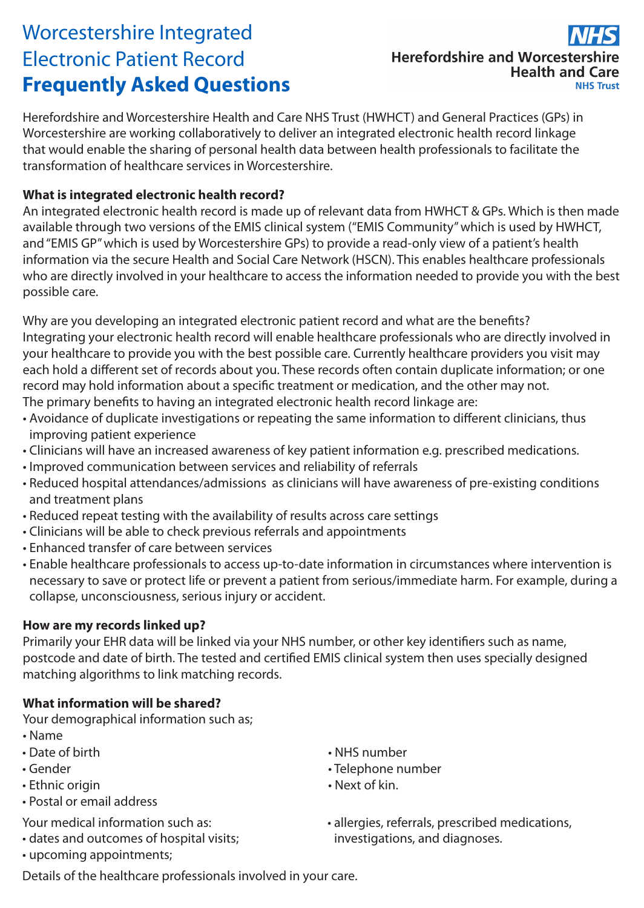## Worcestershire Integrated Electronic Patient Record **Frequently Asked Questions**

### **Herefordshire and Worcestershire Health and Care NHS Trust**

Herefordshire and Worcestershire Health and Care NHS Trust (HWHCT) and General Practices (GPs) in Worcestershire are working collaboratively to deliver an integrated electronic health record linkage that would enable the sharing of personal health data between health professionals to facilitate the transformation of healthcare services in Worcestershire.

#### **What is integrated electronic health record?**

An integrated electronic health record is made up of relevant data from HWHCT & GPs. Which is then made available through two versions of the EMIS clinical system ("EMIS Community" which is used by HWHCT, and "EMIS GP" which is used by Worcestershire GPs) to provide a read-only view of a patient's health information via the secure Health and Social Care Network (HSCN). This enables healthcare professionals who are directly involved in your healthcare to access the information needed to provide you with the best possible care.

Why are you developing an integrated electronic patient record and what are the benefits? Integrating your electronic health record will enable healthcare professionals who are directly involved in your healthcare to provide you with the best possible care. Currently healthcare providers you visit may each hold a different set of records about you. These records often contain duplicate information; or one record may hold information about a specific treatment or medication, and the other may not. The primary benefits to having an integrated electronic health record linkage are:

- Avoidance of duplicate investigations or repeating the same information to different clinicians, thus improving patient experience
- Clinicians will have an increased awareness of key patient information e.g. prescribed medications.
- Improved communication between services and reliability of referrals
- Reduced hospital attendances/admissions as clinicians will have awareness of pre-existing conditions and treatment plans
- Reduced repeat testing with the availability of results across care settings
- Clinicians will be able to check previous referrals and appointments
- Enhanced transfer of care between services
- Enable healthcare professionals to access up-to-date information in circumstances where intervention is necessary to save or protect life or prevent a patient from serious/immediate harm. For example, during a collapse, unconsciousness, serious injury or accident.

#### **How are my records linked up?**

Primarily your EHR data will be linked via your NHS number, or other key identifiers such as name, postcode and date of birth. The tested and certified EMIS clinical system then uses specially designed matching algorithms to link matching records.

#### **What information will be shared?**

Your demographical information such as;

- Name
- Date of birth
- Gender
- Ethnic origin
- Postal or email address

Your medical information such as:

- dates and outcomes of hospital visits;
- upcoming appointments;
- NHS number
- Telephone number
- Next of kin.
- allergies, referrals, prescribed medications, investigations, and diagnoses.

Details of the healthcare professionals involved in your care.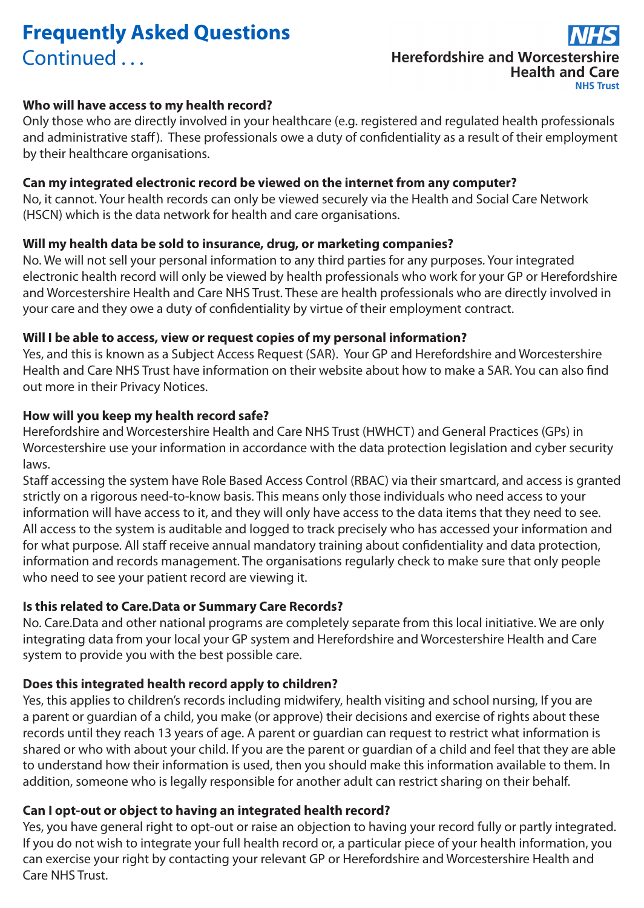## **Frequently Asked Questions** Continued ...

# **Herefordshire and Worcestershire Health and Care**

#### **Who will have access to my health record?**

Only those who are directly involved in your healthcare (e.g. registered and regulated health professionals and administrative staff). These professionals owe a duty of confidentiality as a result of their employment by their healthcare organisations.

#### **Can my integrated electronic record be viewed on the internet from any computer?**

No, it cannot. Your health records can only be viewed securely via the Health and Social Care Network (HSCN) which is the data network for health and care organisations.

#### **Will my health data be sold to insurance, drug, or marketing companies?**

No. We will not sell your personal information to any third parties for any purposes. Your integrated electronic health record will only be viewed by health professionals who work for your GP or Herefordshire and Worcestershire Health and Care NHS Trust. These are health professionals who are directly involved in your care and they owe a duty of confidentiality by virtue of their employment contract.

#### **Will I be able to access, view or request copies of my personal information?**

Yes, and this is known as a Subject Access Request (SAR). Your GP and Herefordshire and Worcestershire Health and Care NHS Trust have information on their website about how to make a SAR. You can also find out more in their Privacy Notices.

#### **How will you keep my health record safe?**

Herefordshire and Worcestershire Health and Care NHS Trust (HWHCT) and General Practices (GPs) in Worcestershire use your information in accordance with the data protection legislation and cyber security laws.

Staff accessing the system have Role Based Access Control (RBAC) via their smartcard, and access is granted strictly on a rigorous need-to-know basis. This means only those individuals who need access to your information will have access to it, and they will only have access to the data items that they need to see. All access to the system is auditable and logged to track precisely who has accessed your information and for what purpose. All staff receive annual mandatory training about confidentiality and data protection, information and records management. The organisations regularly check to make sure that only people who need to see your patient record are viewing it.

#### **Is this related to Care.Data or Summary Care Records?**

No. Care.Data and other national programs are completely separate from this local initiative. We are only integrating data from your local your GP system and Herefordshire and Worcestershire Health and Care system to provide you with the best possible care.

#### **Does this integrated health record apply to children?**

Yes, this applies to children's records including midwifery, health visiting and school nursing, If you are a parent or guardian of a child, you make (or approve) their decisions and exercise of rights about these records until they reach 13 years of age. A parent or guardian can request to restrict what information is shared or who with about your child. If you are the parent or guardian of a child and feel that they are able to understand how their information is used, then you should make this information available to them. In addition, someone who is legally responsible for another adult can restrict sharing on their behalf.

#### **Can I opt-out or object to having an integrated health record?**

Yes, you have general right to opt-out or raise an objection to having your record fully or partly integrated. If you do not wish to integrate your full health record or, a particular piece of your health information, you can exercise your right by contacting your relevant GP or Herefordshire and Worcestershire Health and Care NHS Trust.